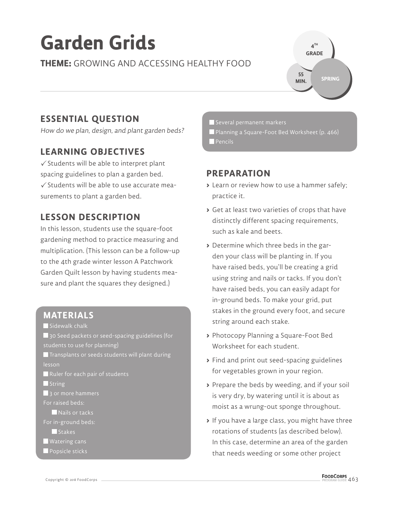# **Garden Grids**

#### **THEME:** GROWING AND ACCESSING HEALTHY FOOD



# **ESSENTIAL QUESTION**

How do we plan, design, and plant garden beds?

## **LEARNING OBJECTIVES**

 $\checkmark$  Students will be able to interpret plant spacing guidelines to plan a garden bed.  $\checkmark$  Students will be able to use accurate measurements to plant a garden bed.

# **LESSON DESCRIPTION**

In this lesson, students use the square-foot gardening method to practice measuring and multiplication. (This lesson can be a follow-up to the 4th grade winter lesson A Patchwork Garden Quilt lesson by having students measure and plant the squares they designed.)

#### **MATERIALS**

Sidewalk chalk

30 Seed packets or seed-spacing guidelines (for students to use for planning)

 $\blacksquare$  Transplants or seeds students will plant during lesson

Ruler for each pair of students

 $\blacksquare$  String

3 or more hammers

- For raised beds:
- Nails or tacks
- For in-ground beds:

Stakes

Watering cans

**Popsicle sticks** 

Several permanent markers Planning a Square-Foot Bed Worksheet (p. 466) **Pencils** 

# **PREPARATION**

- **>** Learn or review how to use a hammer safely; practice it.
- **>** Get at least two varieties of crops that have distinctly different spacing requirements, such as kale and beets.
- **>** Determine which three beds in the garden your class will be planting in. If you have raised beds, you'll be creating a grid using string and nails or tacks. If you don't have raised beds, you can easily adapt for in-ground beds. To make your grid, put stakes in the ground every foot, and secure string around each stake.
- **>** Photocopy Planning a Square-Foot Bed Worksheet for each student.
- **>** Find and print out seed-spacing guidelines for vegetables grown in your region.
- **>** Prepare the beds by weeding, and if your soil is very dry, by watering until it is about as moist as a wrung-out sponge throughout.
- **>** If you have a large class, you might have three rotations of students (as described below). In this case, determine an area of the garden that needs weeding or some other project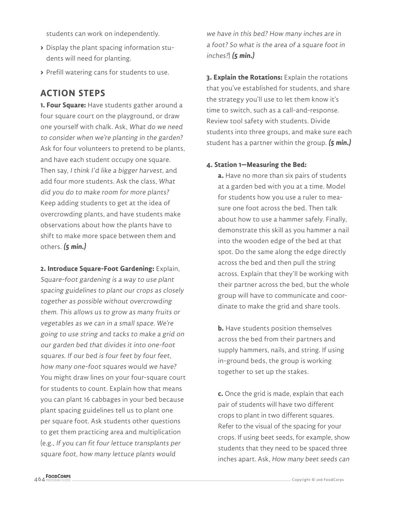students can work on independently.

- **>** Display the plant spacing information students will need for planting.
- **>** Prefill watering cans for students to use.

## **ACTION STEPS**

**1. Four Square:** Have students gather around a four square court on the playground, or draw one yourself with chalk. Ask, What do we need to consider when we're planting in the garden? Ask for four volunteers to pretend to be plants, and have each student occupy one square. Then say, I think I'd like a bigger harvest, and add four more students. Ask the class, What did you do to make room for more plants? Keep adding students to get at the idea of overcrowding plants, and have students make observations about how the plants have to shift to make more space between them and others. **(5 min.)**

**2. Introduce Square-Foot Gardening:** Explain, Square-foot gardening is a way to use plant spacing guidelines to plant our crops as closely together as possible without overcrowding them. This allows us to grow as many fruits or vegetables as we can in a small space. We're going to use string and tacks to make a grid on our garden bed that divides it into one-foot squares. If our bed is four feet by four feet, how many one-foot squares would we have? You might draw lines on your four-square court for students to count. Explain how that means you can plant 16 cabbages in your bed because plant spacing guidelines tell us to plant one per square foot. Ask students other questions to get them practicing area and multiplication (e.g., If you can fit four lettuce transplants per square foot, how many lettuce plants would

we have in this bed? How many inches are in a foot? So what is the area of a square foot in inches?) **(5 min.)**

**3. Explain the Rotations:** Explain the rotations that you've established for students, and share the strategy you'll use to let them know it's time to switch, such as a call-and-response. Review tool safety with students. Divide students into three groups, and make sure each student has a partner within the group. **(5 min.)**

#### **4. Station 1—Measuring the Bed:**

**a.** Have no more than six pairs of students at a garden bed with you at a time. Model for students how you use a ruler to measure one foot across the bed. Then talk about how to use a hammer safely. Finally, demonstrate this skill as you hammer a nail into the wooden edge of the bed at that spot. Do the same along the edge directly across the bed and then pull the string across. Explain that they'll be working with their partner across the bed, but the whole group will have to communicate and coordinate to make the grid and share tools.

**b.** Have students position themselves across the bed from their partners and supply hammers, nails, and string. If using in-ground beds, the group is working together to set up the stakes.

**c.** Once the grid is made, explain that each pair of students will have two different crops to plant in two different squares. Refer to the visual of the spacing for your crops. If using beet seeds, for example, show students that they need to be spaced three inches apart. Ask, How many beet seeds can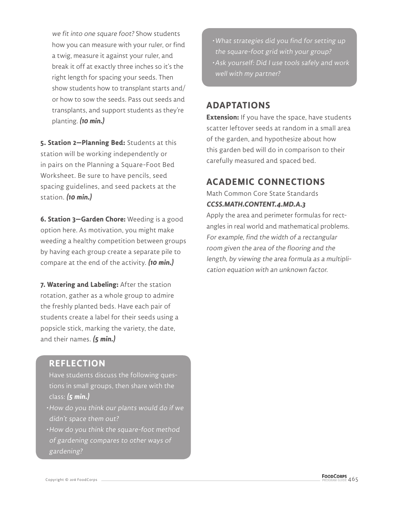we fit into one square foot? Show students how you can measure with your ruler, or find a twig, measure it against your ruler, and break it off at exactly three inches so it's the right length for spacing your seeds. Then show students how to transplant starts and/ or how to sow the seeds. Pass out seeds and transplants, and support students as they're planting. **(10 min.)**

**5. Station 2—Planning Bed:** Students at this station will be working independently or in pairs on the Planning a Square-Foot Bed Worksheet. Be sure to have pencils, seed spacing guidelines, and seed packets at the station. **(10 min.)**

**6. Station 3—Garden Chore:** Weeding is a good option here. As motivation, you might make weeding a healthy competition between groups by having each group create a separate pile to compare at the end of the activity. **(10 min.)**

**7. Watering and Labeling:** After the station rotation, gather as a whole group to admire the freshly planted beds. Have each pair of students create a label for their seeds using a popsicle stick, marking the variety, the date, and their names. **(5 min.)**

#### **REFLECTION**

Have students discuss the following questions in small groups, then share with the class: **(5 min.)**

- How do you think our plants would do if we didn't space them out?
- How do you think the square-foot method of gardening compares to other ways of gardening?

• What strategies did you find for setting up the square-foot grid with your group? • Ask yourself: Did I use tools safely and work well with my partner?

#### **ADAPTATIONS**

**Extension:** If you have the space, have students scatter leftover seeds at random in a small area of the garden, and hypothesize about how this garden bed will do in comparison to their carefully measured and spaced bed.

#### **ACADEMIC CONNECTIONS**

Math Common Core State Standards **CCSS.MATH.CONTENT.4.MD.A.3**

Apply the area and perimeter formulas for rectangles in real world and mathematical problems. For example, find the width of a rectangular room given the area of the flooring and the length, by viewing the area formula as a multiplication equation with an unknown factor.